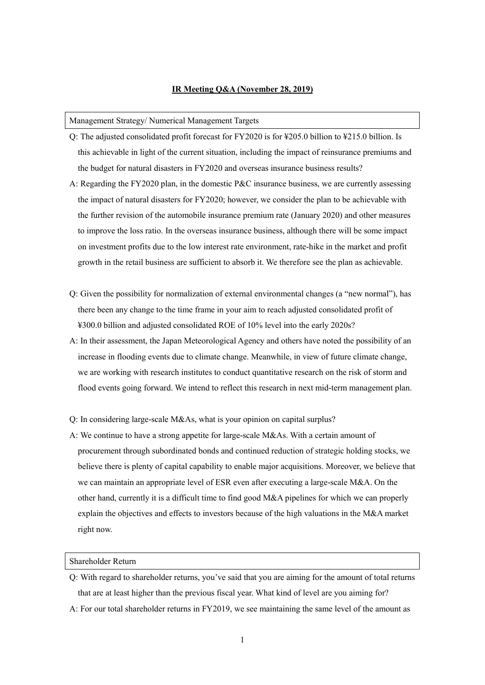# **IR Meeting Q&A (November 28, 2019)**

### Management Strategy/ Numerical Management Targets

- Q: The adjusted consolidated profit forecast for FY2020 is for ¥205.0 billion to ¥215.0 billion. Is this achievable in light of the current situation, including the impact of reinsurance premiums and the budget for natural disasters in FY2020 and overseas insurance business results?
- A: Regarding the FY2020 plan, in the domestic P&C insurance business, we are currently assessing the impact of natural disasters for FY2020; however, we consider the plan to be achievable with the further revision of the automobile insurance premium rate (January 2020) and other measures to improve the loss ratio. In the overseas insurance business, although there will be some impact on investment profits due to the low interest rate environment, rate-hike in the market and profit growth in the retail business are sufficient to absorb it. We therefore see the plan as achievable.
- Q: Given the possibility for normalization of external environmental changes (a "new normal"), has there been any change to the time frame in your aim to reach adjusted consolidated profit of ¥300.0 billion and adjusted consolidated ROE of 10% level into the early 2020s?
- A: In their assessment, the Japan Meteorological Agency and others have noted the possibility of an increase in flooding events due to climate change. Meanwhile, in view of future climate change, we are working with research institutes to conduct quantitative research on the risk of storm and flood events going forward. We intend to reflect this research in next mid-term management plan.

Q: In considering large-scale M&As, what is your opinion on capital surplus?

A: We continue to have a strong appetite for large-scale M&As. With a certain amount of procurement through subordinated bonds and continued reduction of strategic holding stocks, we believe there is plenty of capital capability to enable major acquisitions. Moreover, we believe that we can maintain an appropriate level of ESR even after executing a large-scale M&A. On the other hand, currently it is a difficult time to find good M&A pipelines for which we can properly explain the objectives and effects to investors because of the high valuations in the M&A market right now.

### Shareholder Return

- Q: With regard to shareholder returns, you've said that you are aiming for the amount of total returns that are at least higher than the previous fiscal year. What kind of level are you aiming for?
- A: For our total shareholder returns in FY2019, we see maintaining the same level of the amount as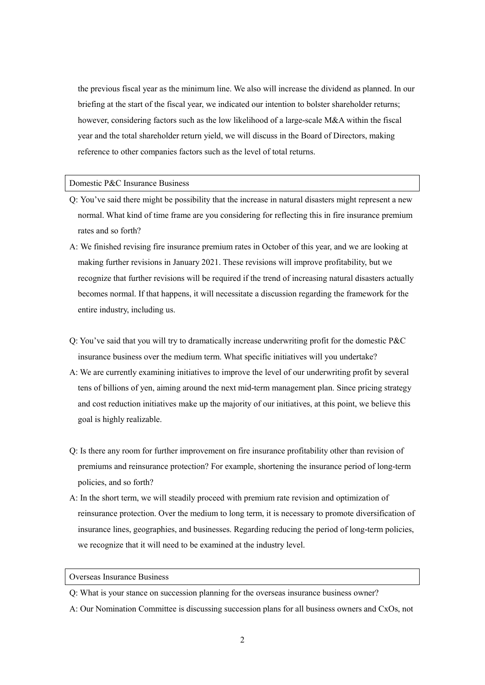the previous fiscal year as the minimum line. We also will increase the dividend as planned. In our briefing at the start of the fiscal year, we indicated our intention to bolster shareholder returns; however, considering factors such as the low likelihood of a large-scale M&A within the fiscal year and the total shareholder return yield, we will discuss in the Board of Directors, making reference to other companies factors such as the level of total returns.

### Domestic P&C Insurance Business

- Q: You've said there might be possibility that the increase in natural disasters might represent a new normal. What kind of time frame are you considering for reflecting this in fire insurance premium rates and so forth?
- A: We finished revising fire insurance premium rates in October of this year, and we are looking at making further revisions in January 2021. These revisions will improve profitability, but we recognize that further revisions will be required if the trend of increasing natural disasters actually becomes normal. If that happens, it will necessitate a discussion regarding the framework for the entire industry, including us.
- Q: You've said that you will try to dramatically increase underwriting profit for the domestic P&C insurance business over the medium term. What specific initiatives will you undertake?
- A: We are currently examining initiatives to improve the level of our underwriting profit by several tens of billions of yen, aiming around the next mid-term management plan. Since pricing strategy and cost reduction initiatives make up the majority of our initiatives, at this point, we believe this goal is highly realizable.
- Q: Is there any room for further improvement on fire insurance profitability other than revision of premiums and reinsurance protection? For example, shortening the insurance period of long-term policies, and so forth?
- A: In the short term, we will steadily proceed with premium rate revision and optimization of reinsurance protection. Over the medium to long term, it is necessary to promote diversification of insurance lines, geographies, and businesses. Regarding reducing the period of long-term policies, we recognize that it will need to be examined at the industry level.

## Overseas Insurance Business

- Q: What is your stance on succession planning for the overseas insurance business owner?
- A: Our Nomination Committee is discussing succession plans for all business owners and CxOs, not